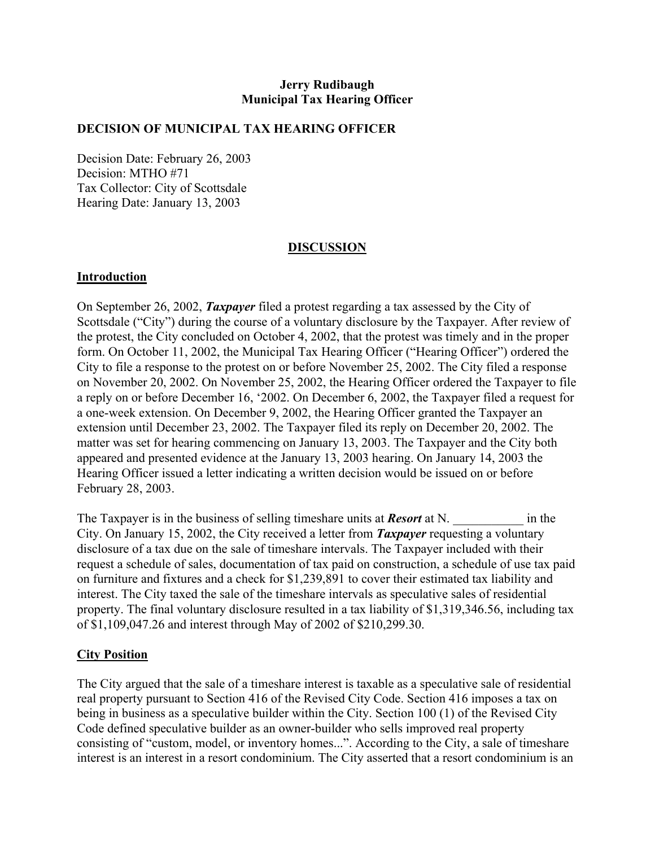### **Jerry Rudibaugh Municipal Tax Hearing Officer**

### **DECISION OF MUNICIPAL TAX HEARING OFFICER**

Decision Date: February 26, 2003 Decision: MTHO #71 Tax Collector: City of Scottsdale Hearing Date: January 13, 2003

#### **DISCUSSION**

#### **Introduction**

On September 26, 2002, *Taxpayer* filed a protest regarding a tax assessed by the City of Scottsdale ("City") during the course of a voluntary disclosure by the Taxpayer. After review of the protest, the City concluded on October 4, 2002, that the protest was timely and in the proper form. On October 11, 2002, the Municipal Tax Hearing Officer ("Hearing Officer") ordered the City to file a response to the protest on or before November 25, 2002. The City filed a response on November 20, 2002. On November 25, 2002, the Hearing Officer ordered the Taxpayer to file a reply on or before December 16, '2002. On December 6, 2002, the Taxpayer filed a request for a one-week extension. On December 9, 2002, the Hearing Officer granted the Taxpayer an extension until December 23, 2002. The Taxpayer filed its reply on December 20, 2002. The matter was set for hearing commencing on January 13, 2003. The Taxpayer and the City both appeared and presented evidence at the January 13, 2003 hearing. On January 14, 2003 the Hearing Officer issued a letter indicating a written decision would be issued on or before February 28, 2003.

The Taxpayer is in the business of selling timeshare units at *Resort* at N.  $\qquad \qquad$  in the City. On January 15, 2002, the City received a letter from *Taxpayer* requesting a voluntary disclosure of a tax due on the sale of timeshare intervals. The Taxpayer included with their request a schedule of sales, documentation of tax paid on construction, a schedule of use tax paid on furniture and fixtures and a check for \$1,239,891 to cover their estimated tax liability and interest. The City taxed the sale of the timeshare intervals as speculative sales of residential property. The final voluntary disclosure resulted in a tax liability of \$1,319,346.56, including tax of \$1,109,047.26 and interest through May of 2002 of \$210,299.30.

### **City Position**

The City argued that the sale of a timeshare interest is taxable as a speculative sale of residential real property pursuant to Section 416 of the Revised City Code. Section 416 imposes a tax on being in business as a speculative builder within the City. Section 100 (1) of the Revised City Code defined speculative builder as an owner-builder who sells improved real property consisting of "custom, model, or inventory homes...". According to the City, a sale of timeshare interest is an interest in a resort condominium. The City asserted that a resort condominium is an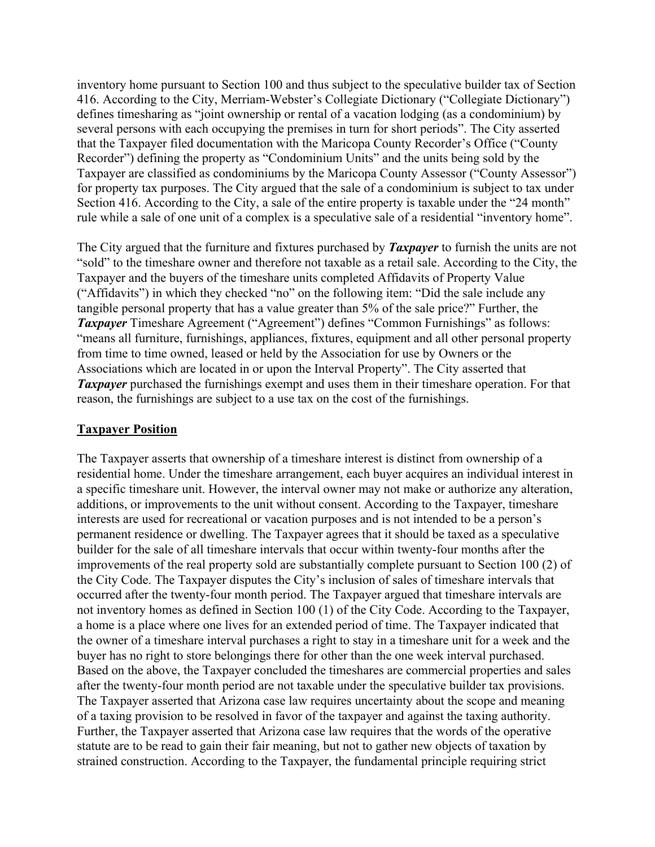inventory home pursuant to Section 100 and thus subject to the speculative builder tax of Section 416. According to the City, Merriam-Webster's Collegiate Dictionary ("Collegiate Dictionary") defines timesharing as "joint ownership or rental of a vacation lodging (as a condominium) by several persons with each occupying the premises in turn for short periods". The City asserted that the Taxpayer filed documentation with the Maricopa County Recorder's Office ("County Recorder") defining the property as "Condominium Units" and the units being sold by the Taxpayer are classified as condominiums by the Maricopa County Assessor ("County Assessor") for property tax purposes. The City argued that the sale of a condominium is subject to tax under Section 416. According to the City, a sale of the entire property is taxable under the "24 month" rule while a sale of one unit of a complex is a speculative sale of a residential "inventory home".

The City argued that the furniture and fixtures purchased by *Taxpayer* to furnish the units are not "sold" to the timeshare owner and therefore not taxable as a retail sale. According to the City, the Taxpayer and the buyers of the timeshare units completed Affidavits of Property Value ("Affidavits") in which they checked "no" on the following item: "Did the sale include any tangible personal property that has a value greater than 5% of the sale price?" Further, the *Taxpayer* Timeshare Agreement ("Agreement") defines "Common Furnishings" as follows: "means all furniture, furnishings, appliances, fixtures, equipment and all other personal property from time to time owned, leased or held by the Association for use by Owners or the Associations which are located in or upon the Interval Property". The City asserted that **Taxpayer** purchased the furnishings exempt and uses them in their timeshare operation. For that reason, the furnishings are subject to a use tax on the cost of the furnishings.

### **Taxpayer Position**

The Taxpayer asserts that ownership of a timeshare interest is distinct from ownership of a residential home. Under the timeshare arrangement, each buyer acquires an individual interest in a specific timeshare unit. However, the interval owner may not make or authorize any alteration, additions, or improvements to the unit without consent. According to the Taxpayer, timeshare interests are used for recreational or vacation purposes and is not intended to be a person's permanent residence or dwelling. The Taxpayer agrees that it should be taxed as a speculative builder for the sale of all timeshare intervals that occur within twenty-four months after the improvements of the real property sold are substantially complete pursuant to Section 100 (2) of the City Code. The Taxpayer disputes the City's inclusion of sales of timeshare intervals that occurred after the twenty-four month period. The Taxpayer argued that timeshare intervals are not inventory homes as defined in Section 100 (1) of the City Code. According to the Taxpayer, a home is a place where one lives for an extended period of time. The Taxpayer indicated that the owner of a timeshare interval purchases a right to stay in a timeshare unit for a week and the buyer has no right to store belongings there for other than the one week interval purchased. Based on the above, the Taxpayer concluded the timeshares are commercial properties and sales after the twenty-four month period are not taxable under the speculative builder tax provisions. The Taxpayer asserted that Arizona case law requires uncertainty about the scope and meaning of a taxing provision to be resolved in favor of the taxpayer and against the taxing authority. Further, the Taxpayer asserted that Arizona case law requires that the words of the operative statute are to be read to gain their fair meaning, but not to gather new objects of taxation by strained construction. According to the Taxpayer, the fundamental principle requiring strict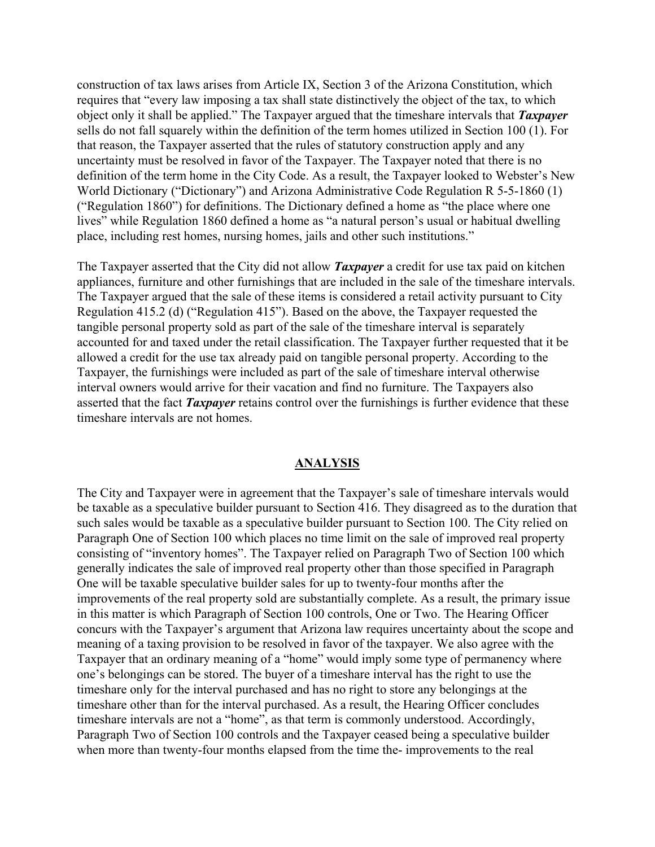construction of tax laws arises from Article IX, Section 3 of the Arizona Constitution, which requires that "every law imposing a tax shall state distinctively the object of the tax, to which object only it shall be applied." The Taxpayer argued that the timeshare intervals that *Taxpayer* sells do not fall squarely within the definition of the term homes utilized in Section 100 (1). For that reason, the Taxpayer asserted that the rules of statutory construction apply and any uncertainty must be resolved in favor of the Taxpayer. The Taxpayer noted that there is no definition of the term home in the City Code. As a result, the Taxpayer looked to Webster's New World Dictionary ("Dictionary") and Arizona Administrative Code Regulation R 5-5-1860 (1) ("Regulation 1860") for definitions. The Dictionary defined a home as "the place where one lives" while Regulation 1860 defined a home as "a natural person's usual or habitual dwelling place, including rest homes, nursing homes, jails and other such institutions."

The Taxpayer asserted that the City did not allow *Taxpayer* a credit for use tax paid on kitchen appliances, furniture and other furnishings that are included in the sale of the timeshare intervals. The Taxpayer argued that the sale of these items is considered a retail activity pursuant to City Regulation 415.2 (d) ("Regulation 415"). Based on the above, the Taxpayer requested the tangible personal property sold as part of the sale of the timeshare interval is separately accounted for and taxed under the retail classification. The Taxpayer further requested that it be allowed a credit for the use tax already paid on tangible personal property. According to the Taxpayer, the furnishings were included as part of the sale of timeshare interval otherwise interval owners would arrive for their vacation and find no furniture. The Taxpayers also asserted that the fact *Taxpayer* retains control over the furnishings is further evidence that these timeshare intervals are not homes.

#### **ANALYSIS**

The City and Taxpayer were in agreement that the Taxpayer's sale of timeshare intervals would be taxable as a speculative builder pursuant to Section 416. They disagreed as to the duration that such sales would be taxable as a speculative builder pursuant to Section 100. The City relied on Paragraph One of Section 100 which places no time limit on the sale of improved real property consisting of "inventory homes". The Taxpayer relied on Paragraph Two of Section 100 which generally indicates the sale of improved real property other than those specified in Paragraph One will be taxable speculative builder sales for up to twenty-four months after the improvements of the real property sold are substantially complete. As a result, the primary issue in this matter is which Paragraph of Section 100 controls, One or Two. The Hearing Officer concurs with the Taxpayer's argument that Arizona law requires uncertainty about the scope and meaning of a taxing provision to be resolved in favor of the taxpayer. We also agree with the Taxpayer that an ordinary meaning of a "home" would imply some type of permanency where one's belongings can be stored. The buyer of a timeshare interval has the right to use the timeshare only for the interval purchased and has no right to store any belongings at the timeshare other than for the interval purchased. As a result, the Hearing Officer concludes timeshare intervals are not a "home", as that term is commonly understood. Accordingly, Paragraph Two of Section 100 controls and the Taxpayer ceased being a speculative builder when more than twenty-four months elapsed from the time the- improvements to the real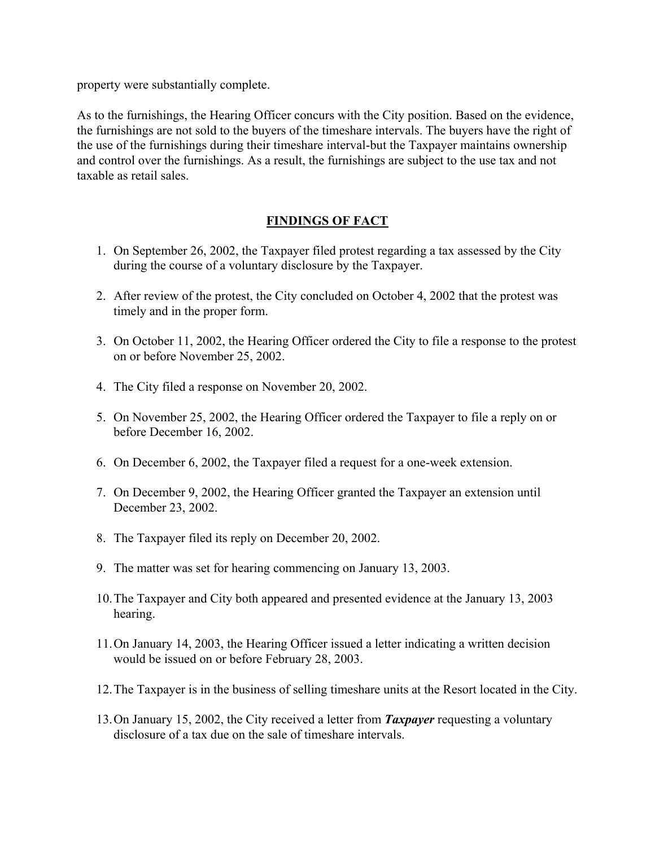property were substantially complete.

As to the furnishings, the Hearing Officer concurs with the City position. Based on the evidence, the furnishings are not sold to the buyers of the timeshare intervals. The buyers have the right of the use of the furnishings during their timeshare interval-but the Taxpayer maintains ownership and control over the furnishings. As a result, the furnishings are subject to the use tax and not taxable as retail sales.

# **FINDINGS OF FACT**

- 1. On September 26, 2002, the Taxpayer filed protest regarding a tax assessed by the City during the course of a voluntary disclosure by the Taxpayer.
- 2. After review of the protest, the City concluded on October 4, 2002 that the protest was timely and in the proper form.
- 3. On October 11, 2002, the Hearing Officer ordered the City to file a response to the protest on or before November 25, 2002.
- 4. The City filed a response on November 20, 2002.
- 5. On November 25, 2002, the Hearing Officer ordered the Taxpayer to file a reply on or before December 16, 2002.
- 6. On December 6, 2002, the Taxpayer filed a request for a one-week extension.
- 7. On December 9, 2002, the Hearing Officer granted the Taxpayer an extension until December 23, 2002.
- 8. The Taxpayer filed its reply on December 20, 2002.
- 9. The matter was set for hearing commencing on January 13, 2003.
- 10. The Taxpayer and City both appeared and presented evidence at the January 13, 2003 hearing.
- 11. On January 14, 2003, the Hearing Officer issued a letter indicating a written decision would be issued on or before February 28, 2003.
- 12. The Taxpayer is in the business of selling timeshare units at the Resort located in the City.
- 13. On January 15, 2002, the City received a letter from *Taxpayer* requesting a voluntary disclosure of a tax due on the sale of timeshare intervals.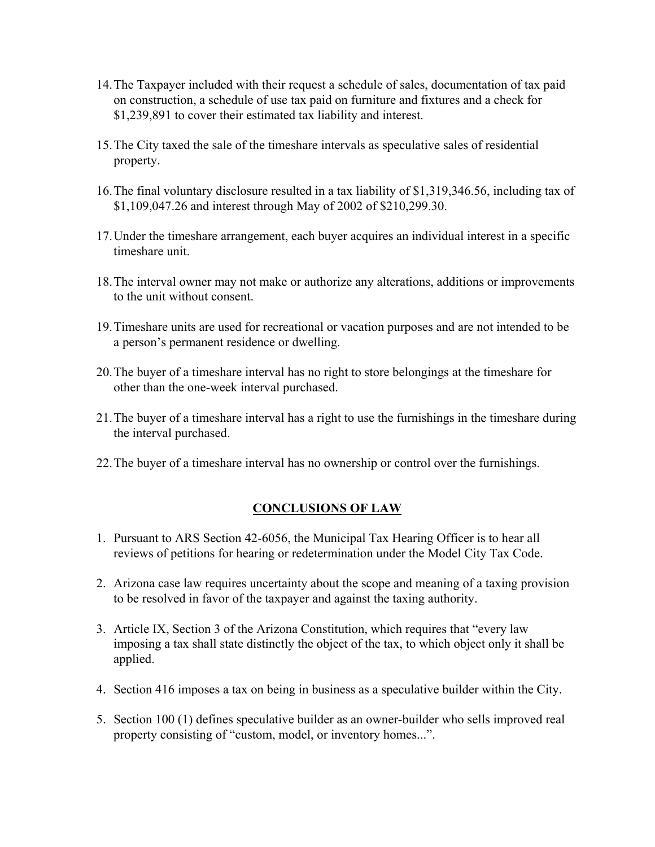- 14. The Taxpayer included with their request a schedule of sales, documentation of tax paid on construction, a schedule of use tax paid on furniture and fixtures and a check for \$1,239,891 to cover their estimated tax liability and interest.
- 15. The City taxed the sale of the timeshare intervals as speculative sales of residential property.
- 16. The final voluntary disclosure resulted in a tax liability of \$1,319,346.56, including tax of \$1,109,047.26 and interest through May of 2002 of \$210,299.30.
- 17. Under the timeshare arrangement, each buyer acquires an individual interest in a specific timeshare unit.
- 18. The interval owner may not make or authorize any alterations, additions or improvements to the unit without consent.
- 19. Timeshare units are used for recreational or vacation purposes and are not intended to be a person's permanent residence or dwelling.
- 20. The buyer of a timeshare interval has no right to store belongings at the timeshare for other than the one-week interval purchased.
- 21. The buyer of a timeshare interval has a right to use the furnishings in the timeshare during the interval purchased.
- 22. The buyer of a timeshare interval has no ownership or control over the furnishings.

# **CONCLUSIONS OF LAW**

- 1. Pursuant to ARS Section 42-6056, the Municipal Tax Hearing Officer is to hear all reviews of petitions for hearing or redetermination under the Model City Tax Code.
- 2. Arizona case law requires uncertainty about the scope and meaning of a taxing provision to be resolved in favor of the taxpayer and against the taxing authority.
- 3. Article IX, Section 3 of the Arizona Constitution, which requires that "every law imposing a tax shall state distinctly the object of the tax, to which object only it shall be applied.
- 4. Section 416 imposes a tax on being in business as a speculative builder within the City.
- 5. Section 100 (1) defines speculative builder as an owner-builder who sells improved real property consisting of "custom, model, or inventory homes...".